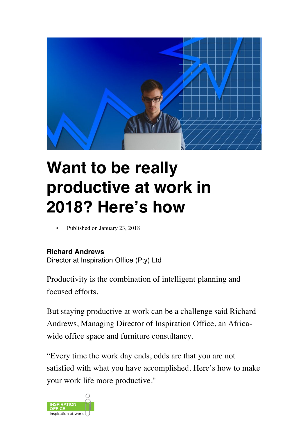

# **Want to be really productive at work in 2018? Here's how**

• Published on January 23, 2018

#### **Richard Andrews**

Director at Inspiration Office (Pty) Ltd

Productivity is the combination of intelligent planning and focused efforts.

But staying productive at work can be a challenge said Richard Andrews, Managing Director of Inspiration Office, an Africawide office space and furniture consultancy.

"Every time the work day ends, odds are that you are not satisfied with what you have accomplished. Here's how to make your work life more productive."

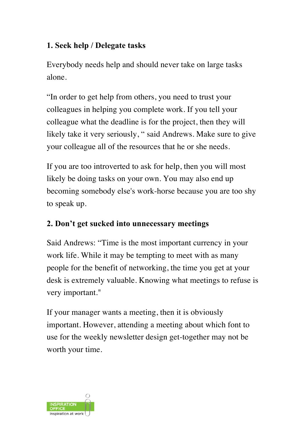## **1. Seek help / Delegate tasks**

Everybody needs help and should never take on large tasks alone.

"In order to get help from others, you need to trust your colleagues in helping you complete work. If you tell your colleague what the deadline is for the project, then they will likely take it very seriously, " said Andrews. Make sure to give your colleague all of the resources that he or she needs.

If you are too introverted to ask for help, then you will most likely be doing tasks on your own. You may also end up becoming somebody else's work-horse because you are too shy to speak up.

## **2. Don't get sucked into unnecessary meetings**

Said Andrews: "Time is the most important currency in your work life. While it may be tempting to meet with as many people for the benefit of networking, the time you get at your desk is extremely valuable. Knowing what meetings to refuse is very important."

If your manager wants a meeting, then it is obviously important. However, attending a meeting about which font to use for the weekly newsletter design get-together may not be worth your time.

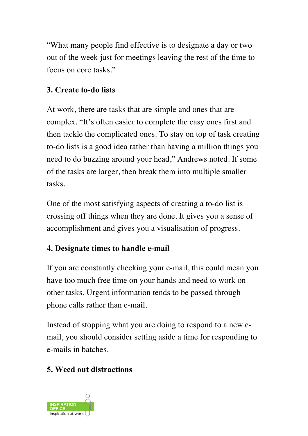"What many people find effective is to designate a day or two out of the week just for meetings leaving the rest of the time to focus on core tasks."

## **3. Create to-do lists**

At work, there are tasks that are simple and ones that are complex. "It's often easier to complete the easy ones first and then tackle the complicated ones. To stay on top of task creating to-do lists is a good idea rather than having a million things you need to do buzzing around your head," Andrews noted. If some of the tasks are larger, then break them into multiple smaller tasks.

One of the most satisfying aspects of creating a to-do list is crossing off things when they are done. It gives you a sense of accomplishment and gives you a visualisation of progress.

## **4. Designate times to handle e-mail**

If you are constantly checking your e-mail, this could mean you have too much free time on your hands and need to work on other tasks. Urgent information tends to be passed through phone calls rather than e-mail.

Instead of stopping what you are doing to respond to a new email, you should consider setting aside a time for responding to e-mails in batches.

## **5. Weed out distractions**

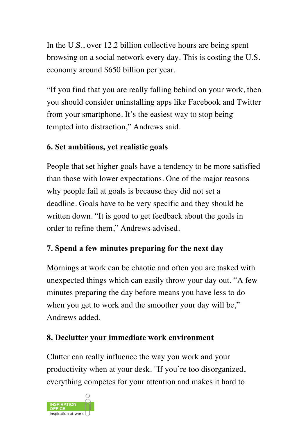In the U.S., over 12.2 billion collective hours are being spent browsing on a social network every day. This is costing the U.S. economy around \$650 billion per year.

"If you find that you are really falling behind on your work, then you should consider uninstalling apps like Facebook and Twitter from your smartphone. It's the easiest way to stop being tempted into distraction," Andrews said.

#### **6. Set ambitious, yet realistic goals**

People that set higher goals have a tendency to be more satisfied than those with lower expectations. One of the major reasons why people fail at goals is because they did not set a deadline. Goals have to be very specific and they should be written down. "It is good to get feedback about the goals in order to refine them," Andrews advised.

#### **7. Spend a few minutes preparing for the next day**

Mornings at work can be chaotic and often you are tasked with unexpected things which can easily throw your day out. "A few minutes preparing the day before means you have less to do when you get to work and the smoother your day will be," Andrews added.

#### **8. Declutter your immediate work environment**

Clutter can really influence the way you work and your productivity when at your desk. "If you're too disorganized, everything competes for your attention and makes it hard to